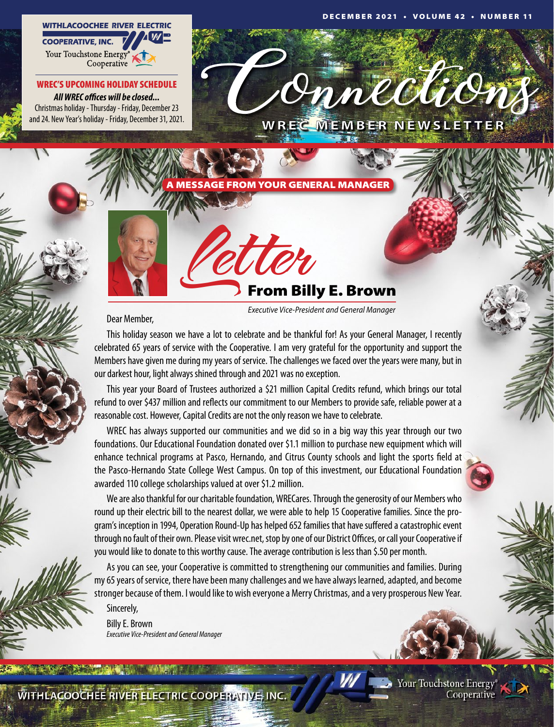#### **VOLUME 42**



WREC'S UPCOMING HOLIDAY SCHEDULE *All WREC offices will be closed...* Christmas holiday - Thursday - Friday, December 23 and 24. New Year's holiday - Friday, December 31, 2021.

Onneclion WREC MEMBER NEWSLETTER

A MESSAGE FROM YOUR GENERAL MANAGER



**CULCY**<br>From Billy E. Brown

 *Executive Vice-President and General Manager*

Dear Member,

This holiday season we have a lot to celebrate and be thankful for! As your General Manager, I recently celebrated 65 years of service with the Cooperative. I am very grateful for the opportunity and support the Members have given me during my years of service. The challenges we faced over the years were many, but in our darkest hour, light always shined through and 2021 was no exception.

This year your Board of Trustees authorized a \$21 million Capital Credits refund, which brings our total refund to over \$437 million and reflects our commitment to our Members to provide safe, reliable power at a reasonable cost. However, Capital Credits are not the only reason we have to celebrate.

WREC has always supported our communities and we did so in a big way this year through our two foundations. Our Educational Foundation donated over \$1.1 million to purchase new equipment which will enhance technical programs at Pasco, Hernando, and Citrus County schools and light the sports field at the Pasco-Hernando State College West Campus. On top of this investment, our Educational Foundation awarded 110 college scholarships valued at over \$1.2 million.

We are also thankful for our charitable foundation, WRECares. Through the generosity of our Members who round up their electric bill to the nearest dollar, we were able to help 15 Cooperative families. Since the program's inception in 1994, Operation Round-Up has helped 652 families that have suffered a catastrophic event through no fault of their own. Please visit wrec.net, stop by one of our District Offices, or call your Cooperative if you would like to donate to this worthy cause. The average contribution is less than \$.50 per month.

As you can see, your Cooperative is committed to strengthening our communities and families. During my 65 years of service, there have been many challenges and we have always learned, adapted, and become stronger because of them. I would like to wish everyone a Merry Christmas, and a very prosperous New Year. Sincerely,

Billy E. Brown *Executive Vice-President and General Manager*

> Your Touchstone Energy® Cooperative



WITHLACOOCHEE RIVER ELECTRIC COOPERATIVE, INC.